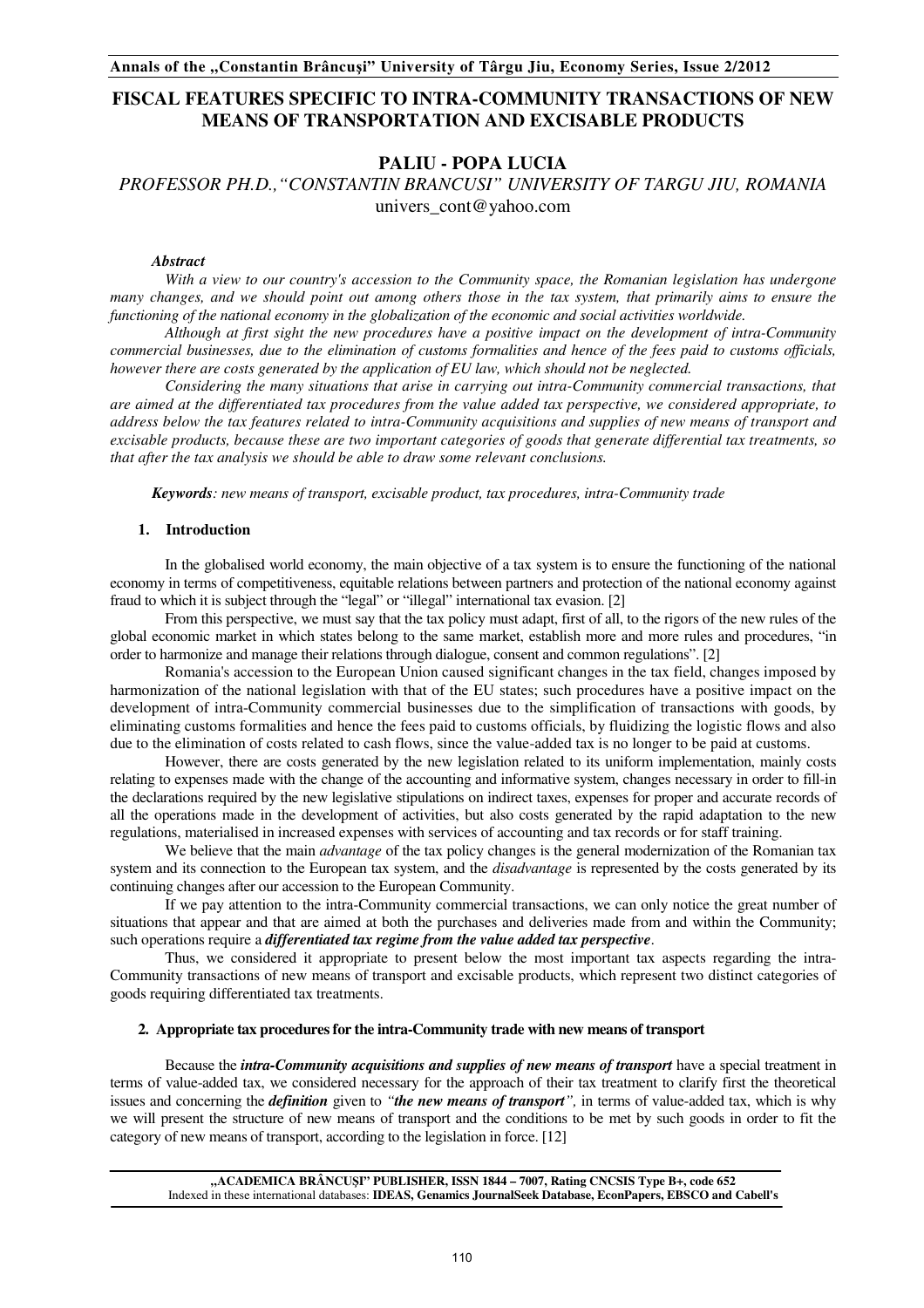# **FISCAL FEATURES SPECIFIC TO INTRA-COMMUNITY TRANSACTIONS OF NEW MEANS OF TRANSPORTATION AND EXCISABLE PRODUCTS**

## **PALIU - POPA LUCIA**

*PROFESSOR PH.D.,"CONSTANTIN BRANCUSI" UNIVERSITY OF TARGU JIU, ROMANIA*  univers\_cont@yahoo.com

#### *Abstract*

*With a view to our country's accession to the Community space, the Romanian legislation has undergone many changes, and we should point out among others those in the tax system, that primarily aims to ensure the functioning of the national economy in the globalization of the economic and social activities worldwide.* 

*Although at first sight the new procedures have a positive impact on the development of intra-Community commercial businesses, due to the elimination of customs formalities and hence of the fees paid to customs officials, however there are costs generated by the application of EU law, which should not be neglected.* 

*Considering the many situations that arise in carrying out intra-Community commercial transactions, that are aimed at the differentiated tax procedures from the value added tax perspective, we considered appropriate, to address below the tax features related to intra-Community acquisitions and supplies of new means of transport and excisable products, because these are two important categories of goods that generate differential tax treatments, so that after the tax analysis we should be able to draw some relevant conclusions.* 

*Keywords: new means of transport, excisable product, tax procedures, intra-Community trade* 

#### **1. Introduction**

In the globalised world economy, the main objective of a tax system is to ensure the functioning of the national economy in terms of competitiveness, equitable relations between partners and protection of the national economy against fraud to which it is subject through the "legal" or "illegal" international tax evasion. [2]

From this perspective, we must say that the tax policy must adapt, first of all, to the rigors of the new rules of the global economic market in which states belong to the same market, establish more and more rules and procedures, "in order to harmonize and manage their relations through dialogue, consent and common regulations". [2]

Romania's accession to the European Union caused significant changes in the tax field, changes imposed by harmonization of the national legislation with that of the EU states; such procedures have a positive impact on the development of intra-Community commercial businesses due to the simplification of transactions with goods, by eliminating customs formalities and hence the fees paid to customs officials, by fluidizing the logistic flows and also due to the elimination of costs related to cash flows, since the value-added tax is no longer to be paid at customs.

However, there are costs generated by the new legislation related to its uniform implementation, mainly costs relating to expenses made with the change of the accounting and informative system, changes necessary in order to fill-in the declarations required by the new legislative stipulations on indirect taxes, expenses for proper and accurate records of all the operations made in the development of activities, but also costs generated by the rapid adaptation to the new regulations, materialised in increased expenses with services of accounting and tax records or for staff training.

We believe that the main *advantage* of the tax policy changes is the general modernization of the Romanian tax system and its connection to the European tax system, and the *disadvantage* is represented by the costs generated by its continuing changes after our accession to the European Community.

If we pay attention to the intra-Community commercial transactions, we can only notice the great number of situations that appear and that are aimed at both the purchases and deliveries made from and within the Community; such operations require a *differentiated tax regime from the value added tax perspective*.

Thus, we considered it appropriate to present below the most important tax aspects regarding the intra-Community transactions of new means of transport and excisable products, which represent two distinct categories of goods requiring differentiated tax treatments.

## **2. Appropriate tax procedures for the intra-Community trade with new means of transport**

Because the *intra-Community acquisitions and supplies of new means of transport* have a special treatment in terms of value-added tax, we considered necessary for the approach of their tax treatment to clarify first the theoretical issues and concerning the *definition* given to *"the new means of transport",* in terms of value-added tax, which is why we will present the structure of new means of transport and the conditions to be met by such goods in order to fit the category of new means of transport, according to the legislation in force. [12]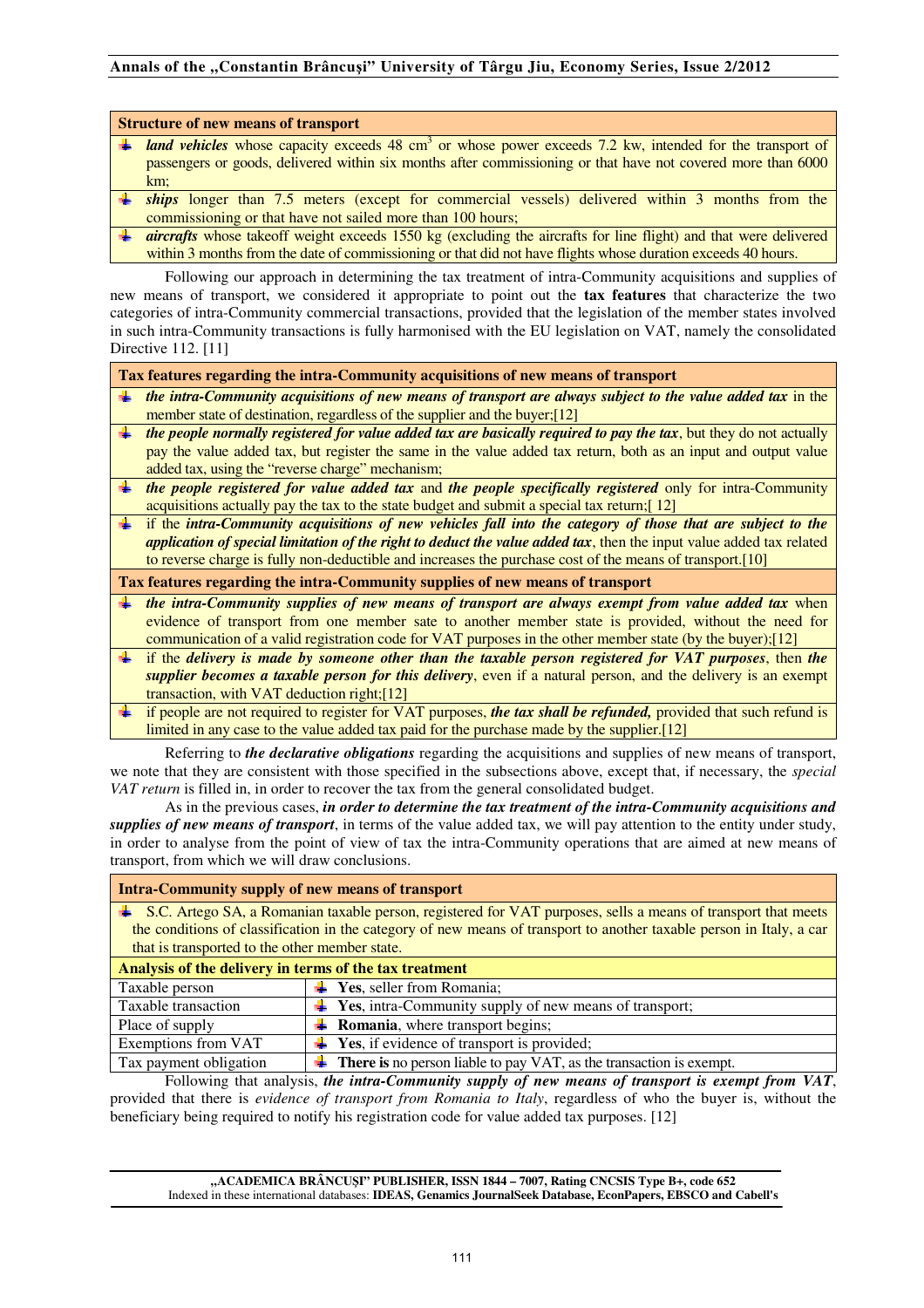#### **Structure of new means of transport**

- land vehicles whose capacity exceeds 48 cm<sup>3</sup> or whose power exceeds 7.2 kw, intended for the transport of passengers or goods, delivered within six months after commissioning or that have not covered more than 6000 km;
- **is thips** longer than 7.5 meters (except for commercial vessels) delivered within 3 months from the commissioning or that have not sailed more than 100 hours;
- *aircrafts* whose takeoff weight exceeds 1550 kg (excluding the aircrafts for line flight) and that were delivered within 3 months from the date of commissioning or that did not have flights whose duration exceeds 40 hours.

Following our approach in determining the tax treatment of intra-Community acquisitions and supplies of new means of transport, we considered it appropriate to point out the **tax features** that characterize the two categories of intra-Community commercial transactions, provided that the legislation of the member states involved in such intra-Community transactions is fully harmonised with the EU legislation on VAT, namely the consolidated Directive 112. [11]

**Tax features regarding the intra-Community acquisitions of new means of transport** 

- *the intra-Community acquisitions of new means of transport are always subject to the value added tax* in the member state of destination, regardless of the supplier and the buyer;[12]
- *the people normally registered for value added tax are basically required to pay the tax*, but they do not actually pay the value added tax, but register the same in the value added tax return, both as an input and output value added tax, using the "reverse charge" mechanism;
- *the people registered for value added tax* and *the people specifically registered* only for intra-Community acquisitions actually pay the tax to the state budget and submit a special tax return;[ 12]
- if the *intra-Community acquisitions of new vehicles fall into the category of those that are subject to the application of special limitation of the right to deduct the value added tax*, then the input value added tax related to reverse charge is fully non-deductible and increases the purchase cost of the means of transport.[10]

**Tax features regarding the intra-Community supplies of new means of transport** 

- *the intra-Community supplies of new means of transport are always exempt from value added tax* when evidence of transport from one member sate to another member state is provided, without the need for communication of a valid registration code for VAT purposes in the other member state (by the buyer);[12]
- if the *delivery is made by someone other than the taxable person registered for VAT purposes*, then *the supplier becomes a taxable person for this delivery*, even if a natural person, and the delivery is an exempt transaction, with VAT deduction right;[12]
- if people are not required to register for VAT purposes, *the tax shall be refunded,* provided that such refund is limited in any case to the value added tax paid for the purchase made by the supplier.[12]

Referring to *the declarative obligations* regarding the acquisitions and supplies of new means of transport, we note that they are consistent with those specified in the subsections above, except that, if necessary, the *special VAT return* is filled in, in order to recover the tax from the general consolidated budget.

As in the previous cases, *in order to determine the tax treatment of the intra-Community acquisitions and supplies of new means of transport*, in terms of the value added tax, we will pay attention to the entity under study, in order to analyse from the point of view of tax the intra-Community operations that are aimed at new means of transport, from which we will draw conclusions.

| <b>Intra-Community supply of new means of transport</b>                                                              |                                                                                |  |
|----------------------------------------------------------------------------------------------------------------------|--------------------------------------------------------------------------------|--|
| ↓ S.C. Artego SA, a Romanian taxable person, registered for VAT purposes, sells a means of transport that meets      |                                                                                |  |
| the conditions of classification in the category of new means of transport to another taxable person in Italy, a car |                                                                                |  |
| that is transported to the other member state.                                                                       |                                                                                |  |
| Analysis of the delivery in terms of the tax treatment                                                               |                                                                                |  |
| Taxable person                                                                                                       | $\textcolor{red}{\bullet}$ Yes, seller from Romania;                           |  |
| Taxable transaction                                                                                                  | $\overline{\mathbf{H}}$ Yes, intra-Community supply of new means of transport; |  |
| Place of supply                                                                                                      | $\overline{\mathbf{A}}$ <b>Romania</b> , where transport begins;               |  |

Exemptions from VAT  $\parallel \frac{1}{\parallel}$  **Yes**, if evidence of transport is provided;

Tax payment obligation  $\blacktriangle$  **There is** no person liable to pay VAT, as the transaction is exempt.

Following that analysis, *the intra-Community supply of new means of transport is exempt from VAT*, provided that there is *evidence of transport from Romania to Italy*, regardless of who the buyer is, without the beneficiary being required to notify his registration code for value added tax purposes. [12]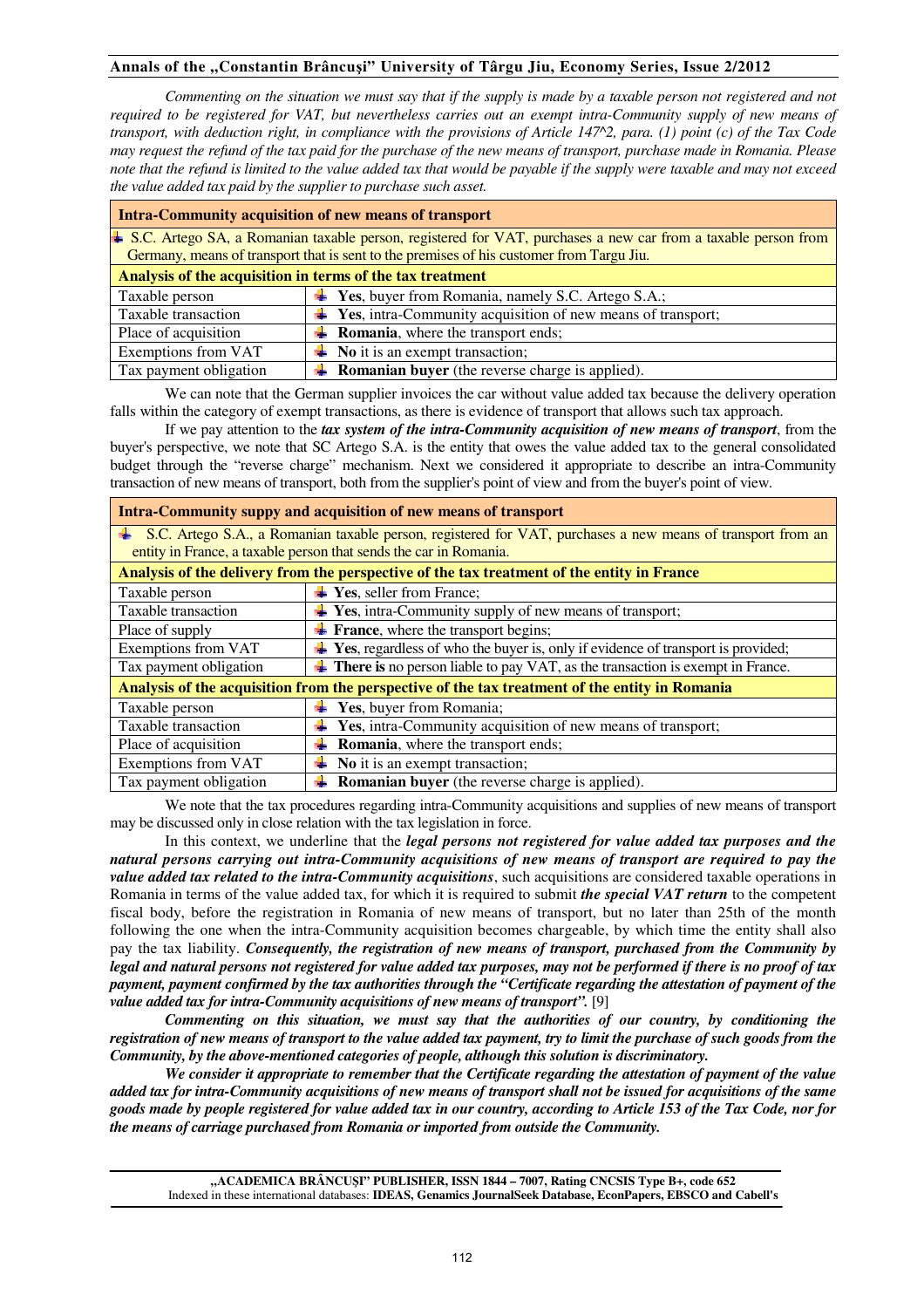*Commenting on the situation we must say that if the supply is made by a taxable person not registered and not required to be registered for VAT, but nevertheless carries out an exempt intra-Community supply of new means of transport, with deduction right, in compliance with the provisions of Article 147^2, para. (1) point (c) of the Tax Code may request the refund of the tax paid for the purchase of the new means of transport, purchase made in Romania. Please note that the refund is limited to the value added tax that would be payable if the supply were taxable and may not exceed the value added tax paid by the supplier to purchase such asset.* 

| <b>Intra-Community acquisition of new means of transport</b>                                                        |                                                                                         |  |
|---------------------------------------------------------------------------------------------------------------------|-----------------------------------------------------------------------------------------|--|
| $\pm$ S.C. Artego SA, a Romanian taxable person, registered for VAT, purchases a new car from a taxable person from |                                                                                         |  |
| Germany, means of transport that is sent to the premises of his customer from Targu Jiu.                            |                                                                                         |  |
| Analysis of the acquisition in terms of the tax treatment                                                           |                                                                                         |  |
| Taxable person                                                                                                      | $\textcolor{red}{\blacktriangleleft}$ Yes, buyer from Romania, namely S.C. Artego S.A.; |  |
| Taxable transaction                                                                                                 | $\overline{\textbf{4}}$ Yes, intra-Community acquisition of new means of transport;     |  |
| Place of acquisition                                                                                                | <b>Romania</b> , where the transport ends;                                              |  |
| <b>Exemptions from VAT</b>                                                                                          | $\blacksquare$ No it is an exempt transaction;                                          |  |
| Tax payment obligation                                                                                              | <b>Example 1</b> Romanian buyer (the reverse charge is applied).                        |  |

We can note that the German supplier invoices the car without value added tax because the delivery operation falls within the category of exempt transactions, as there is evidence of transport that allows such tax approach.

If we pay attention to the *tax system of the intra-Community acquisition of new means of transport*, from the buyer's perspective, we note that SC Artego S.A. is the entity that owes the value added tax to the general consolidated budget through the "reverse charge" mechanism. Next we considered it appropriate to describe an intra-Community transaction of new means of transport, both from the supplier's point of view and from the buyer's point of view.

| Intra-Community suppy and acquisition of new means of transport                                               |                                                                                         |  |
|---------------------------------------------------------------------------------------------------------------|-----------------------------------------------------------------------------------------|--|
| ↓ S.C. Artego S.A., a Romanian taxable person, registered for VAT, purchases a new means of transport from an |                                                                                         |  |
| entity in France, a taxable person that sends the car in Romania.                                             |                                                                                         |  |
| Analysis of the delivery from the perspective of the tax treatment of the entity in France                    |                                                                                         |  |
| Taxable person                                                                                                | $\blacktriangleright$ Yes, seller from France;                                          |  |
| Taxable transaction                                                                                           | Yes, intra-Community supply of new means of transport;                                  |  |
| Place of supply                                                                                               | France, where the transport begins;                                                     |  |
| Exemptions from VAT                                                                                           | $\perp$ Yes, regardless of who the buyer is, only if evidence of transport is provided; |  |
| Tax payment obligation                                                                                        | There is no person liable to pay VAT, as the transaction is exempt in France.           |  |
| Analysis of the acquisition from the perspective of the tax treatment of the entity in Romania                |                                                                                         |  |
| Taxable person                                                                                                | Yes, buyer from Romania;                                                                |  |
| Taxable transaction                                                                                           | Yes, intra-Community acquisition of new means of transport;                             |  |
| Place of acquisition                                                                                          | <b>Romania</b> , where the transport ends;                                              |  |
| <b>Exemptions from VAT</b>                                                                                    | No it is an exempt transaction;                                                         |  |
| Tax payment obligation                                                                                        | <b>Romanian buyer</b> (the reverse charge is applied).                                  |  |

We note that the tax procedures regarding intra-Community acquisitions and supplies of new means of transport may be discussed only in close relation with the tax legislation in force.

In this context, we underline that the *legal persons not registered for value added tax purposes and the natural persons carrying out intra-Community acquisitions of new means of transport are required to pay the value added tax related to the intra-Community acquisitions*, such acquisitions are considered taxable operations in Romania in terms of the value added tax, for which it is required to submit *the special VAT return* to the competent fiscal body, before the registration in Romania of new means of transport, but no later than 25th of the month following the one when the intra-Community acquisition becomes chargeable, by which time the entity shall also pay the tax liability. *Consequently, the registration of new means of transport, purchased from the Community by legal and natural persons not registered for value added tax purposes, may not be performed if there is no proof of tax payment, payment confirmed by the tax authorities through the "Certificate regarding the attestation of payment of the value added tax for intra-Community acquisitions of new means of transport".* [9]

*Commenting on this situation, we must say that the authorities of our country, by conditioning the registration of new means of transport to the value added tax payment, try to limit the purchase of such goods from the Community, by the above-mentioned categories of people, although this solution is discriminatory.* 

*We consider it appropriate to remember that the Certificate regarding the attestation of payment of the value added tax for intra-Community acquisitions of new means of transport shall not be issued for acquisitions of the same goods made by people registered for value added tax in our country, according to Article 153 of the Tax Code, nor for the means of carriage purchased from Romania or imported from outside the Community.*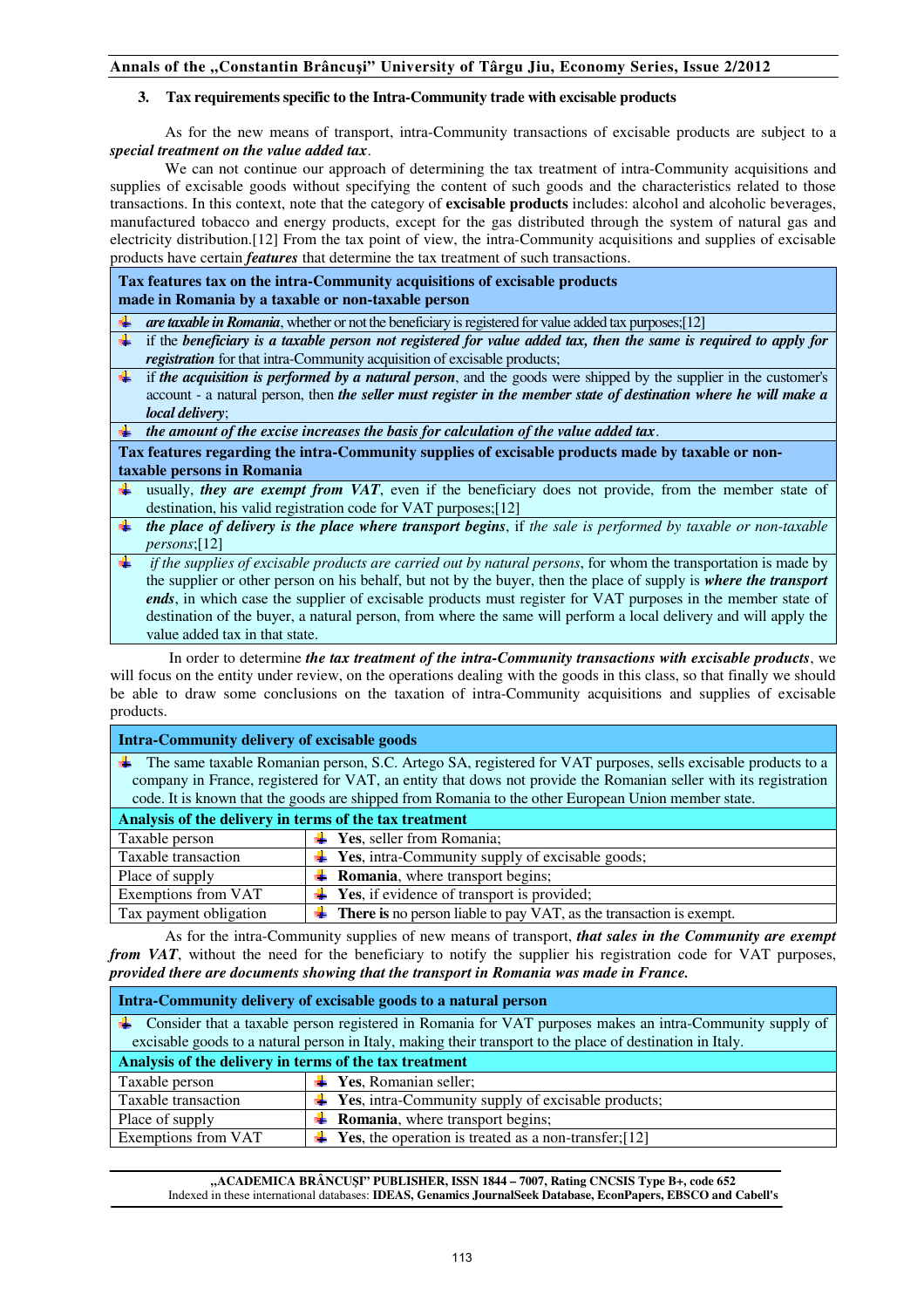## **3. Tax requirements specific to the Intra-Community trade with excisable products**

As for the new means of transport, intra-Community transactions of excisable products are subject to a *special treatment on the value added tax*.

We can not continue our approach of determining the tax treatment of intra-Community acquisitions and supplies of excisable goods without specifying the content of such goods and the characteristics related to those transactions. In this context, note that the category of **excisable products** includes: alcohol and alcoholic beverages, manufactured tobacco and energy products, except for the gas distributed through the system of natural gas and electricity distribution.[12] From the tax point of view, the intra-Community acquisitions and supplies of excisable products have certain *features* that determine the tax treatment of such transactions.

**Tax features tax on the intra-Community acquisitions of excisable products made in Romania by a taxable or non-taxable person** 

- *are taxable in Romania*, whether or not the beneficiary is registered for value added tax purposes;[12]
- if the *beneficiary is a taxable person not registered for value added tax, then the same is required to apply for registration* for that intra-Community acquisition of excisable products;
- if *the acquisition is performed by a natural person*, and the goods were shipped by the supplier in the customer's account - a natural person, then *the seller must register in the member state of destination where he will make a local delivery*;
- *the amount of the excise increases the basis for calculation of the value added tax*.

**Tax features regarding the intra-Community supplies of excisable products made by taxable or nontaxable persons in Romania** 

- usually, *they are exempt from VAT*, even if the beneficiary does not provide, from the member state of destination, his valid registration code for VAT purposes;[12]
- *the place of delivery is the place where transport begins*, if *the sale is performed by taxable or non-taxable persons*;[12]
- *if the supplies of excisable products are carried out by natural persons*, for whom the transportation is made by the supplier or other person on his behalf, but not by the buyer, then the place of supply is *where the transport ends*, in which case the supplier of excisable products must register for VAT purposes in the member state of destination of the buyer, a natural person, from where the same will perform a local delivery and will apply the value added tax in that state.

 In order to determine *the tax treatment of the intra-Community transactions with excisable products*, we will focus on the entity under review, on the operations dealing with the goods in this class, so that finally we should be able to draw some conclusions on the taxation of intra-Community acquisitions and supplies of excisable products.

| <b>Intra-Community delivery of excisable goods</b>                                                               |                                                                            |  |
|------------------------------------------------------------------------------------------------------------------|----------------------------------------------------------------------------|--|
| The same taxable Romanian person, S.C. Artego SA, registered for VAT purposes, sells excisable products to a     |                                                                            |  |
| company in France, registered for VAT, an entity that dows not provide the Romanian seller with its registration |                                                                            |  |
| code. It is known that the goods are shipped from Romania to the other European Union member state.              |                                                                            |  |
| Analysis of the delivery in terms of the tax treatment                                                           |                                                                            |  |
| Taxable person                                                                                                   | $\overline{\textbf{H}}$ Yes, seller from Romania;                          |  |
| Taxable transaction                                                                                              | $\textcolor{red}{\bullet}$ Yes, intra-Community supply of excisable goods; |  |
| Place of supply                                                                                                  | $\overline{\mathbf{A}}$ <b>Romania</b> , where transport begins;           |  |
| <b>Exemptions from VAT</b>                                                                                       | <b>Yes</b> , if evidence of transport is provided;                         |  |
| Tax payment obligation                                                                                           | <b>There is</b> no person liable to pay VAT, as the transaction is exempt. |  |

As for the intra-Community supplies of new means of transport, *that sales in the Community are exempt from VAT*, without the need for the beneficiary to notify the supplier his registration code for VAT purposes, *provided there are documents showing that the transport in Romania was made in France.* 

| Intra-Community delivery of excisable goods to a natural person                                            |                                                                                     |  |  |
|------------------------------------------------------------------------------------------------------------|-------------------------------------------------------------------------------------|--|--|
| ↓ Consider that a taxable person registered in Romania for VAT purposes makes an intra-Community supply of |                                                                                     |  |  |
| excisable goods to a natural person in Italy, making their transport to the place of destination in Italy. |                                                                                     |  |  |
| Analysis of the delivery in terms of the tax treatment                                                     |                                                                                     |  |  |
| Taxable person                                                                                             | $\overline{\textbf{H}}$ Yes, Romanian seller;                                       |  |  |
| Taxable transaction                                                                                        | $\textcolor{red}{\textbf{4}}$ Yes, intra-Community supply of excisable products;    |  |  |
| Place of supply                                                                                            | $\downarrow$ <b>Romania</b> , where transport begins;                               |  |  |
| <b>Exemptions from VAT</b>                                                                                 | $\textcolor{red}{\downarrow}$ Yes, the operation is treated as a non-transfer; [12] |  |  |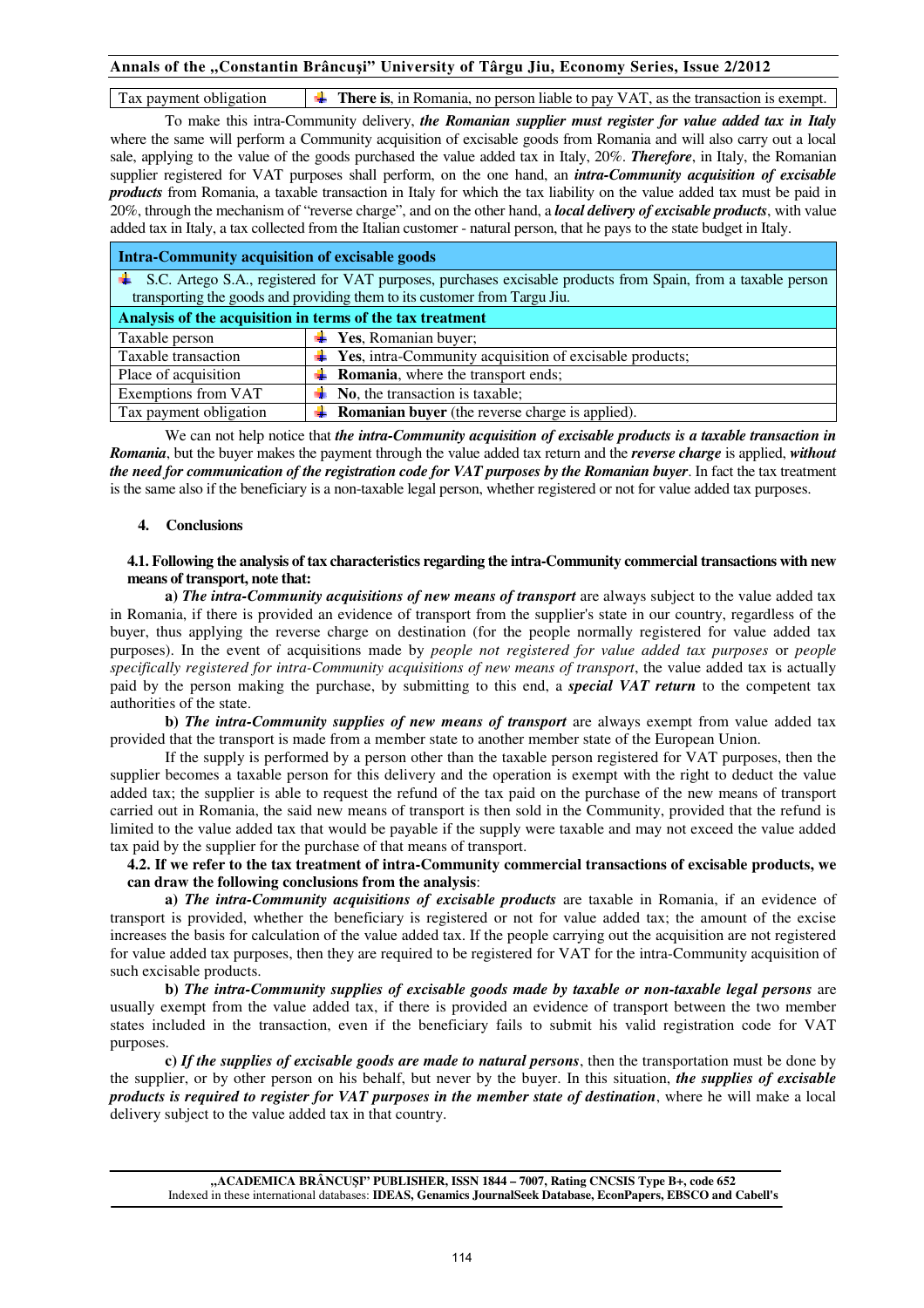Tax payment obligation **T There is**, in Romania, no person liable to pay VAT, as the transaction is exempt.

To make this intra-Community delivery, *the Romanian supplier must register for value added tax in Italy* where the same will perform a Community acquisition of excisable goods from Romania and will also carry out a local sale, applying to the value of the goods purchased the value added tax in Italy, 20%. *Therefore*, in Italy, the Romanian supplier registered for VAT purposes shall perform, on the one hand, an *intra-Community acquisition of excisable products* from Romania, a taxable transaction in Italy for which the tax liability on the value added tax must be paid in 20%, through the mechanism of "reverse charge", and on the other hand, a *local delivery of excisable products*, with value added tax in Italy, a tax collected from the Italian customer - natural person, that he pays to the state budget in Italy.

| <b>Intra-Community acquisition of excisable goods</b>                                                                                                                                      |                                                                                 |  |
|--------------------------------------------------------------------------------------------------------------------------------------------------------------------------------------------|---------------------------------------------------------------------------------|--|
| S.C. Artego S.A., registered for VAT purposes, purchases excisable products from Spain, from a taxable person<br>transporting the goods and providing them to its customer from Targu Jiu. |                                                                                 |  |
| Analysis of the acquisition in terms of the tax treatment                                                                                                                                  |                                                                                 |  |
| Taxable person                                                                                                                                                                             | $\blacktriangleright$ Yes, Romanian buyer;                                      |  |
| Taxable transaction                                                                                                                                                                        | $\overline{\textbf{+}}$ Yes, intra-Community acquisition of excisable products; |  |
| Place of acquisition                                                                                                                                                                       | $\overline{\text{+}}$ <b>Romania</b> , where the transport ends;                |  |
| Exemptions from VAT                                                                                                                                                                        | No, the transaction is taxable;                                                 |  |
| Tax payment obligation                                                                                                                                                                     | <b>Example 1</b> Romanian buyer (the reverse charge is applied).                |  |

We can not help notice that *the intra-Community acquisition of excisable products is a taxable transaction in Romania*, but the buyer makes the payment through the value added tax return and the *reverse charge* is applied, *without the need for communication of the registration code for VAT purposes by the Romanian buyer*. In fact the tax treatment is the same also if the beneficiary is a non-taxable legal person, whether registered or not for value added tax purposes.

#### **4. Conclusions**

#### **4.1. Following the analysis of tax characteristics regarding the intra-Community commercial transactions with new means of transport, note that:**

**a)** *The intra-Community acquisitions of new means of transport* are always subject to the value added tax in Romania, if there is provided an evidence of transport from the supplier's state in our country, regardless of the buyer, thus applying the reverse charge on destination (for the people normally registered for value added tax purposes). In the event of acquisitions made by *people not registered for value added tax purposes* or *people specifically registered for intra-Community acquisitions of new means of transport*, the value added tax is actually paid by the person making the purchase, by submitting to this end, a *special VAT return* to the competent tax authorities of the state.

**b)** *The intra-Community supplies of new means of transport* are always exempt from value added tax provided that the transport is made from a member state to another member state of the European Union.

If the supply is performed by a person other than the taxable person registered for VAT purposes, then the supplier becomes a taxable person for this delivery and the operation is exempt with the right to deduct the value added tax; the supplier is able to request the refund of the tax paid on the purchase of the new means of transport carried out in Romania, the said new means of transport is then sold in the Community, provided that the refund is limited to the value added tax that would be payable if the supply were taxable and may not exceed the value added tax paid by the supplier for the purchase of that means of transport.

**4.2. If we refer to the tax treatment of intra-Community commercial transactions of excisable products, we can draw the following conclusions from the analysis**:

**a)** *The intra-Community acquisitions of excisable products* are taxable in Romania, if an evidence of transport is provided, whether the beneficiary is registered or not for value added tax; the amount of the excise increases the basis for calculation of the value added tax. If the people carrying out the acquisition are not registered for value added tax purposes, then they are required to be registered for VAT for the intra-Community acquisition of such excisable products.

**b)** *The intra-Community supplies of excisable goods made by taxable or non-taxable legal persons* are usually exempt from the value added tax, if there is provided an evidence of transport between the two member states included in the transaction, even if the beneficiary fails to submit his valid registration code for VAT purposes.

**c)** *If the supplies of excisable goods are made to natural persons*, then the transportation must be done by the supplier, or by other person on his behalf, but never by the buyer. In this situation, *the supplies of excisable products is required to register for VAT purposes in the member state of destination*, where he will make a local delivery subject to the value added tax in that country.